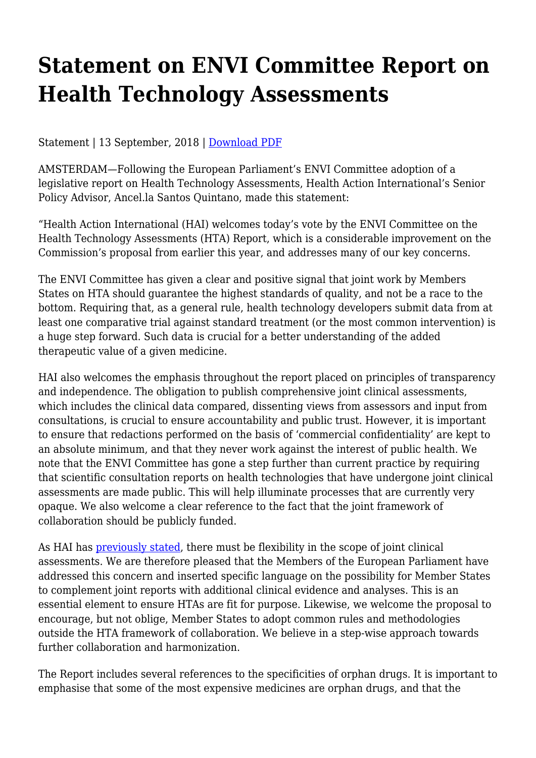## **Statement on ENVI Committee Report on Health Technology Assessments**

Statement | 13 September, 2018 | [Download PDF](http://haiweb.org/wp-content/uploads/2018/09/Statement-ENVI-Committee-HTA-Report.pdf)

AMSTERDAM—Following the European Parliament's ENVI Committee adoption of a legislative report on Health Technology Assessments, Health Action International's Senior Policy Advisor, Ancel.la Santos Quintano, made this statement:

"Health Action International (HAI) welcomes today's vote by the ENVI Committee on the Health Technology Assessments (HTA) Report, which is a considerable improvement on the Commission's proposal from earlier this year, and addresses many of our key concerns.

The ENVI Committee has given a clear and positive signal that joint work by Members States on HTA should guarantee the highest standards of quality, and not be a race to the bottom. Requiring that, as a general rule, health technology developers submit data from at least one comparative trial against standard treatment (or the most common intervention) is a huge step forward. Such data is crucial for a better understanding of the added therapeutic value of a given medicine.

HAI also welcomes the emphasis throughout the report placed on principles of transparency and independence. The obligation to publish comprehensive joint clinical assessments, which includes the clinical data compared, dissenting views from assessors and input from consultations, is crucial to ensure accountability and public trust. However, it is important to ensure that redactions performed on the basis of 'commercial confidentiality' are kept to an absolute minimum, and that they never work against the interest of public health. We note that the ENVI Committee has gone a step further than current practice by requiring that scientific consultation reports on health technologies that have undergone joint clinical assessments are made public. This will help illuminate processes that are currently very opaque. We also welcome a clear reference to the fact that the joint framework of collaboration should be publicly funded.

As HAI has [previously stated](http://haiweb.org/publication/key-recommendations-on-health-technology-assessments/), there must be flexibility in the scope of joint clinical assessments. We are therefore pleased that the Members of the European Parliament have addressed this concern and inserted specific language on the possibility for Member States to complement joint reports with additional clinical evidence and analyses. This is an essential element to ensure HTAs are fit for purpose. Likewise, we welcome the proposal to encourage, but not oblige, Member States to adopt common rules and methodologies outside the HTA framework of collaboration. We believe in a step-wise approach towards further collaboration and harmonization.

The Report includes several references to the specificities of orphan drugs. It is important to emphasise that some of the most expensive medicines are orphan drugs, and that the